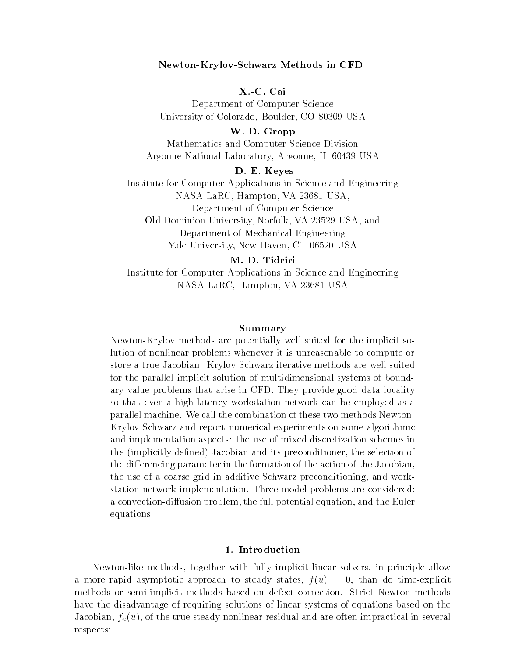## Newton-Krylov-Schwarz Methods in CFD

X.-C. Cai

Department of Computer Science University of Colorado Boulder CO -- USA

W. D. Gropp

Mathematics and Computer Science Division Argonne National Laboratory Argonne IL - USA

# D. E. Keyes

Institute for Computer Applications in Science and Engineering NASA-LaRC, Hampton, VA 23681 USA, Department of Computer Science Old Dominion University Norfolk VA USA and Department of Mechanical Engineering Yale University New Haven Company of the University New Haven Company of the University New Haven Company of the

# M. D. Tidriri

Institute for Computer Applications in Science and Engineering NASA-LaRC, Hampton, VA 23681 USA

## Summary

Newton-Krylov methods are potentially well suited for the implicit solution of nonlinear problems whenever it is unreasonable to compute or store a true Jacobian. Krylov-Schwarz iterative methods are well suited for the parallel implicit solution of multidimensional systems of bound ary value problems that arise in CFD. They provide good data locality so that even a high-latency workstation network can be employed as a parallel machine We call the combination of these two methods Newton Krylov-Schwarz and report numerical experiments on some algorithmic and implementation aspects the use of mixed discretization schemes in the (implicitly defined) Jacobian and its preconditioner, the selection of the differencing parameter in the formation of the action of the Jacobian, the use of a coarse grid in additive Schwarz preconditioning and work station network implementation. Three model problems are considered: a convection-diffusion problem, the full potential equation, and the Euler equations

Newton-like methods, together with fully implicit linear solvers, in principle allow a more rapid asymptotic approach to steady states f u - than do timeexplicit methods or semi-implicit methods based on defect correction. Strict Newton methods have the disadvantage of requiring solutions of linear systems of equations based on the Jacobian,  $f_u(u)$ , of the true steady nonlinear residual and are often impractical in several respects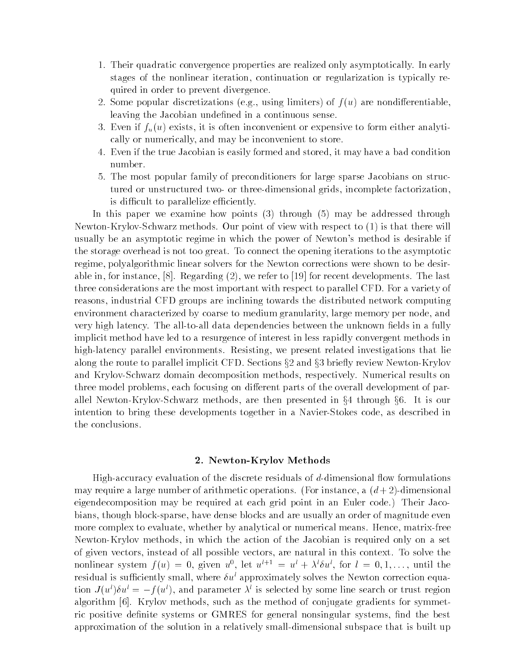- Their quadratic convergence properties are realized only asymptotically In early stages of the nonlinear iteration continuation or regularization is typically re quired in order to prevent divergence
- 2. Some popular discretizations (e.g., using limiters) of  $f(u)$  are nondifferentiable, leaving the Jacobian undefined in a continuous sense.
- 3. Even if  $f_u(u)$  exists, it is often inconvenient or expensive to form either analytically or numerically and may be inconvenient to store
- 4. Even if the true Jacobian is easily formed and stored, it may have a bad condition number
- The most popular family of preconditioners for large sparse Jacobians on struc tured or unstructured two- or three-dimensional grids, incomplete factorization, is difficult to parallelize efficiently.

in the paper we examine how points and the paper we examine the paper we examine the paper of the set of the s Newton-Krylov-Schwarz methods. Our point of view with respect to  $(1)$  is that there will usually be an asymptotic regime in which the power of Newton's method is desirable if the storage overhead is not too great To connect the opening iterations to the asymptotic regime, polyalgorithmic linear solvers for the Newton corrections were shown to be desirable in, for instance,  $\lbrack 8 \rbrack$ . Regarding (2), we refer to  $\lbrack 19 \rbrack$  for recent developments. The last three considerations are the most important with respect to parallel CFD. For a variety of reasons, industrial CFD groups are inclining towards the distributed network computing environment characterized by coarse to medium granularity, large memory per node, and very high latency. The all-to-all data dependencies between the unknown fields in a fully implicit method have led to a resurgence of interest in less rapidly convergent methods in high-latency parallel environments. Resisting, we present related investigations that lie along the route to parallel implicit CFD. Sections  $\S$  and  $\S$  briefly review Newton-Krylov and Krylov-Schwarz domain decomposition methods, respectively. Numerical results on three model problems, each focusing on different parts of the overall development of parallel Newton-Krylov-Schwarz methods, are then presented in  $\S 4$  through  $\S 6$ . It is our intention to bring these developments together in a Navier-Stokes code, as described in the conclusions

# 2. Newton-Krylov Methods

High-accuracy evaluation of the discrete residuals of  $d$ -dimensional flow formulations may require a large number of arithmetic operations. (For instance, a  $(d+2)$ -dimensional eigendecomposition may be required at each grid point in an Euler code.) Their Jacobians, though block-sparse, have dense blocks and are usually an order of magnitude even more complex to evaluate, whether by analytical or numerical means. Hence, matrix-free Newton-Krylov methods, in which the action of the Jacobian is required only on a set of given vectors instead of all possible vectors are natural in this context To solve the  $\lim_{u \to \infty} \frac{u}{u} = u$ , given  $u^2$ , let  $u^{n-1} = u^2 + \lambda^2 \sigma u^2$ , lor  $\iota = 0, 1, \ldots$ , until the residual is sufficiently small, where  $\delta u^l$  approximately solves the Newton correction equation  $J(u^l)\delta u^l = -f(u^l)$ , and parameter  $\lambda^l$  is selected by some line search or trust region algorithm [6]. Krylov methods, such as the method of conjugate gradients for symmetric positive definite systems or GMRES for general nonsingular systems, find the best approximation of the solution in a relatively small-dimensional subspace that is built up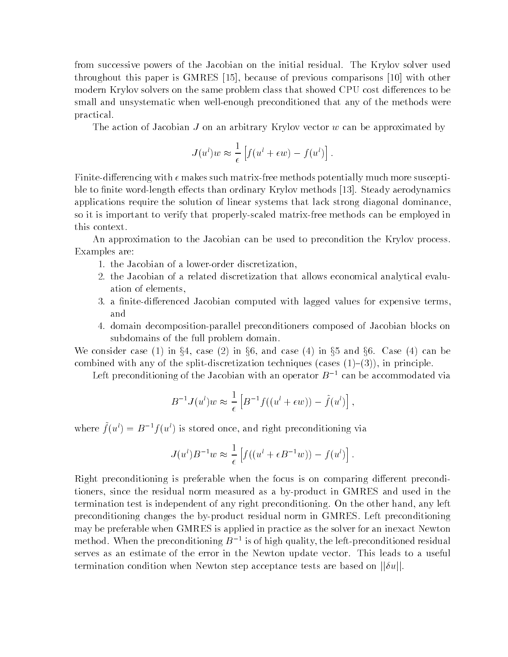from successive powers of the Jacobian on the initial residual. The Krylov solver used throughout the paper is GMRES (previous of previous comparisons of previous comparisons) with a compa modern Krylov solvers on the same problem class that showed CPU cost differences to be small and unsystematic when wellenough preconditioned that any of the methods were practical

The action of Jacobian  $J$  on an arbitrary Krylov vector  $w$  can be approximated by

$$
J(u^{l})w \approx \frac{1}{\epsilon} \left[ f(u^{l} + \epsilon w) - f(u^{l}) \right].
$$

Finite-differencing with  $\epsilon$  makes such matrix-free methods potentially much more susceptible to finite word-length effects than ordinary Krylov methods [13]. Steady aerodynamics applications require the solution of linear systems that lack strong diagonal dominance so it is important to verify that properly-scaled matrix-free methods can be employed in this context

An approximation to the Jacobian can be used to precondition the Krylov process Examples are

- 1. the Jacobian of a lower-order discretization,
- 2. the Jacobian of a related discretization that allows economical analytical evaluation of elements
- 3. a finite-differenced Jacobian computed with lagged values for expensive terms, and
- 4. domain decomposition-parallel preconditioners composed of Jacobian blocks on subdomains of the full problem domain

we consider the full set of the full set  $\{v\}$  and  $\{v\}$  are  $\{v\}$  and  $\{v\}$  and  $\{v\}$  and  $\{v\}$ combined with any of the split-discretization techniques (cases  $(1)$ – $(3)$ ), in principle.

Left preconditioning of the Jacobian with an operator  $B^{-1}$  can be accommodated via

$$
B^{-1}J(u^{l})w \approx \frac{1}{\epsilon} \left[ B^{-1}f((u^{l} + \epsilon w)) - \tilde{f}(u^{l}) \right],
$$

where  $f(u^*) = B^{-1} f(u^*)$  is stored once, and right preconditioning via

$$
J(ul)B-1w \approx \frac{1}{\epsilon} [f((ul + \epsilon B-1w)) - f(ul)].
$$

Right preconditioning is preferable when the focus is on comparing different preconditioners, since the residual norm measured as a by-product in GMRES and used in the termination test is independent of any right preconditioning. On the other hand, any left preconditioning changes the by-product residual norm in GMRES. Left preconditioning may be preferable when GMRES is applied in practice as the solver for an inexact Newton method. When the preconditioning  $B^{-+}$  is of high quality, the left-preconditioned residual serves as an estimate of the error in the Newton update vector. This leads to a useful termination condition when Newton step acceptance tests are based on  $||\delta u||$ .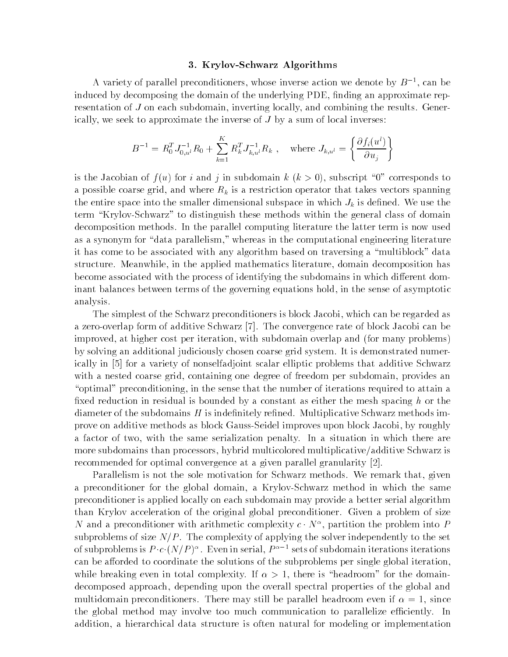### 3. Krylov-Schwarz Algorithms

A variety of parallel preconditioners, whose inverse action we denote by  $B^{-1}$ , can be induced by decomposing the domain of the underlying PDE, finding an approximate representation of  $J$  on each subdomain, inverting locally, and combining the results. Generically, we seek to approximate the inverse of  $J$  by a sum of local inverses:

$$
B^{-1} = R_0^T J_{0,u}^{-1} R_0 + \sum_{k=1}^K R_k^T J_{k,u}^{-1} R_k , \quad \text{where } J_{k,u} = \left\{ \frac{\partial f_i(u^l)}{\partial u_j} \right\}
$$

is the Jacobian of f in subdomain k in subdomain k in subdomain k in subdomain to the corresponds to the corresponds to the corresponds to the corresponds to the corresponds to the corresponds to the corresponds to the cor a possible coarse grid, and where  $R_k$  is a restriction operator that takes vectors spanning the entire space into the smaller dimensional subspace in which  $J_k$  is defined. We use the term "Krylov-Schwarz" to distinguish these methods within the general class of domain decomposition methods In the parallel computing literature the latter term is now used as a synonym for "data parallelism," whereas in the computational engineering literature it has come to be associated with any algorithm based on traversing a "multiblock" data structure. Meanwhile, in the applied mathematics literature, domain decomposition has become associated with the process of identifying the subdomains in which different dominant balances between terms of the governing equations hold in the sense of asymptotic analysis

The simplest of the Schwarz preconditioners is block Jacobi, which can be regarded as a zero-overlap form of additive Schwarz [7]. The convergence rate of block Jacobi can be improved, at higher cost per iteration, with subdomain overlap and (for many problems) by solving an additional judiciously chosen coarse grid system It is demonstrated numer ically in for a variety of nonselfadjoint scalar elliptic problems that additive Schwarz with a nested coarse grid, containing one degree of freedom per subdomain, provides an "optimal" preconditioning, in the sense that the number of iterations required to attain a fixed reduction in residual is bounded by a constant as either the mesh spacing  $h$  or the diameter of the subdomains H is indefinitely refined. Multiplicative Schwarz methods improve on additive methods as block Gauss-Seidel improves upon block Jacobi, by roughly a factor of two, with the same serialization penalty. In a situation in which there are more subdomains than processors, hybrid multicolored multiplicative/additive Schwarz is recommended for optimal convergence at a given parallel granularity

Parallelism is not the sole motivation for Schwarz methods. We remark that, given a preconditioner for the global domain, a Krylov-Schwarz method in which the same preconditioner is applied locally on each subdomain may provide a better serial algorithm than Krylov acceleration of the original global preconditioner. Given a problem of size IV and a preconditioner with arithmetic complexity  $c \cdot N^+$ , partition the problem into  $P$ subproblems of size  $N/P$ . The complexity of applying the solver independently to the set of subproblems is  $P^{\ast}C^{\ast}(N/F)^{\ast}$  . Even in serial,  $F^{\ast}$  -sets of subdomain iterations iterations can be afforded to coordinate the solutions of the subproblems per single global iteration, while breaking even in total complexity. If  $\alpha > 1$ , there is "headroom" for the domaindecomposed approach depending upon the overall spectral properties of the global and multidomain preconditioners. There may still be parallel headroom even if  $\alpha = 1$ , since the global method may involve too much communication to parallelize efficiently. In addition, a hierarchical data structure is often natural for modeling or implementation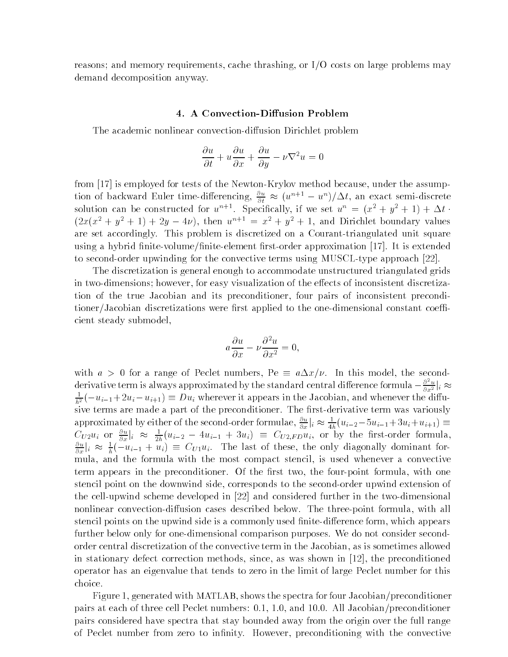reasons; and memory requirements, cache thrashing, or  $I/O$  costs on large problems may demand decomposition anyway

# 4. A Convection-Diffusion Problem

The academic nonlinear convection-diffusion Dirichlet problem

$$
\frac{\partial u}{\partial t} + u \frac{\partial u}{\partial x} + \frac{\partial u}{\partial y} - \nu \nabla^2 u = 0
$$

from  $\left[17\right]$  is employed for tests of the Newton-Krylov method because, under the assumption of backward Euler time-differencing,  $\frac{1}{27} \approx$  $\overline{\partial t} \approx (u^{n+1} - u^{n})/\Delta t$ , an exact semi-discrete solution can be constructed for  $u^{n+1}$ . Specifically, if we set  $u^{n} = (x^{n} + y^{n} + 1) + \Delta t$ .  $(zx(x^2 + y^2 + 1) + zy - 4\nu)$ , then  $u^{n+1} = x^2 + y^2 + 1$ , and Dirichlet boundary values are set accordingly. This problem is discretized on a Courant-triangulated unit square using a hybrid finite-volume/finite-element first-order approximation [17]. It is extended to second-order upwinding for the convective terms using MUSCL-type approach [22].

The discretization is general enough to accommodate unstructured triangulated grids in two-dimensions; however, for easy visualization of the effects of inconsistent discretization of the true Jacobian and its preconditioner, four pairs of inconsistent preconditioner/Jacobian discretizations were first applied to the one-dimensional constant coefficient steady submodel

$$
a\frac{\partial u}{\partial x} - \nu \frac{\partial^2 u}{\partial x^2} = 0,
$$

with a range of Peclet numbers  $\mathcal{W}$ derivative term is always approximated by the standard central difference formula  $-\frac{3-a}{2}$  $\partial x^2$  is zero.  $\frac{1}{h^2}(-u_{i-1}+2u_i-u_{i+1})\equiv Du_i$  wherever it appears in the Jacobian, and whenever the diffusion sive terms are made a part of the preconditioner. The first-derivative term was variously approximated by either of the second-order formulae,  $\frac{1}{2}$  , and  $\frac{1}{\partial x}|_i \approx \frac{1}{4h}(u_i)$  $4h$   $\cdots$   $2 \cdot 2 \cdot 1 \cdot 1 \cdot 2 \cdot 1 \cdot 2 \cdot 1 \cdot 1 \cdot 2 \cdot 1$  $U_{U2}u_i$  or  $\frac{1}{2\pi}$   $|i|$  $\frac{1}{\partial x}|_i \approx \frac{1}{2h}(u)$  $2h$   $\leftarrow$   $\leftarrow$   $\leftarrow$   $\leftarrow$   $\leftarrow$   $\leftarrow$   $\leftarrow$   $\leftarrow$   $\leftarrow$   $\leftarrow$   $\leftarrow$   $\leftarrow$   $\leftarrow$   $\leftarrow$   $\leftarrow$   $\leftarrow$   $\leftarrow$   $\leftarrow$   $\leftarrow$   $\leftarrow$   $\leftarrow$   $\leftarrow$   $\leftarrow$   $\leftarrow$   $\leftarrow$   $\leftarrow$   $\leftarrow$   $\leftarrow$   $\leftarrow$   $\leftarrow$   $\leftarrow$   $\leftarrow$   $\leftarrow$   $\leftarrow$   $\leftarrow$   $\leftarrow$  - - 1  $\frac{1}{\partial x}|_i \approx \frac{1}{h}(-i)$  $h \left( u, u \right)$  with  $\left( u, u \right)$  defined the only diagonally dominant for  $h$ mula, and the formula with the most compact stencil, is used whenever a convective term appears in the preconditioner. Of the first two, the four-point formula, with one stencil point on the downwind side, corresponds to the second-order upwind extension of the cell-upwind scheme developed in  $[22]$  and considered further in the two-dimensional nonlinear convection-diffusion cases described below. The three-point formula, with all stencil points on the upwind side is a commonly used finite-difference form, which appears further below only for one-dimensional comparison purposes. We do not consider secondorder central discretization of the convective term in the Jacobian as is sometimes allowed in stationary defect correction methods, since, as was shown in  $[12]$ , the preconditioned operator has an eigenvalue that tends to zero in the limit of large Peclet number for this choice

Figure 1, generated with MATLAB, shows the spectra for four Jacobian/preconditioner is a control per cell Peclet numbers of the cell Peclet numbers  $\mathbf{1}\mathbf{1}$ pairs considered have spectra that stay bounded away from the origin over the full range of Peclet number from zero to infinity. However, preconditioning with the convective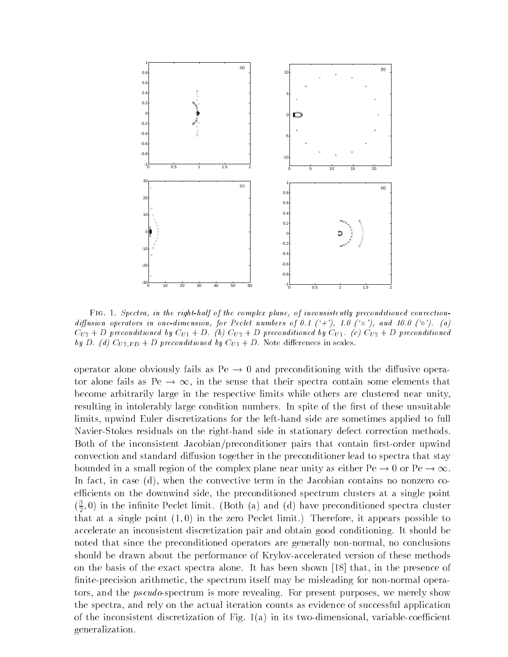

FIG. 1. Spectra, in the right-half of the complex plane, of inconsistently preconditioned convectionand external properties in our extrementing for Peclet numbers of one for the form for Peclet for the form CU2 D Preconditioned by CU D B b 107 CU2 D B preconditioned by CU10 107 CU2 D B preconditioned by by D d CUFD <sup>D</sup> preconditioned by CU D Note di-erences in scales

operator alone obviously fails as Pe  $\mathbb{R}^n$  fails as Pe  $\mathbb{R}^n$  for divisors operator operator operators operators as Pe i tor alone fails as  $Pe \rightarrow \infty$ , in the sense that their spectra contain some elements that become arbitrarily large in the respective limits while others are clustered near unity resulting in intolerably large condition numbers. In spite of the first of these unsuitable limits, upwind Euler discretizations for the left-hand side are sometimes applied to full Navier-Stokes residuals on the right-hand side in stationary defect correction methods. Both of the inconsistent Jacobian/preconditioner pairs that contain first-order upwind convection and standard diffusion together in the preconditioner lead to spectra that stay bounded in a small region of the complex plants near unity as either Pe - O or Pe - Pe - Pe -In fact, in case  $(d)$ , when the convective term in the Jacobian contains no nonzero coefficients on the downwind side, the preconditioned spectrum clusters at a single point  $(\frac{1}{2},0)$  in the infinite Peclet limit. (Both (a) and (d) have preconditioned spectra cluster that at a single point (i.e. ) in the size is also interest, where  $\alpha$  is appearing point in accelerate an inconsistent discretization pair and obtain good conditioning It should be noted that since the preconditioned operators are generally non-normal, no conclusions should be drawn about the performance of Krylov-accelerated version of these methods on the basis of the exact spectra alone. It has been shown  $\left[18\right]$  that, in the presence of finite-precision arithmetic, the spectrum itself may be misleading for non-normal operators, and the *pseudo-spectrum* is more revealing. For present purposes, we merely show the spectra and rely on the actual iteration counts as evidence of successful application of the inconsistent discretization of Fig.  $1(a)$  in its two-dimensional, variable-coefficient generalization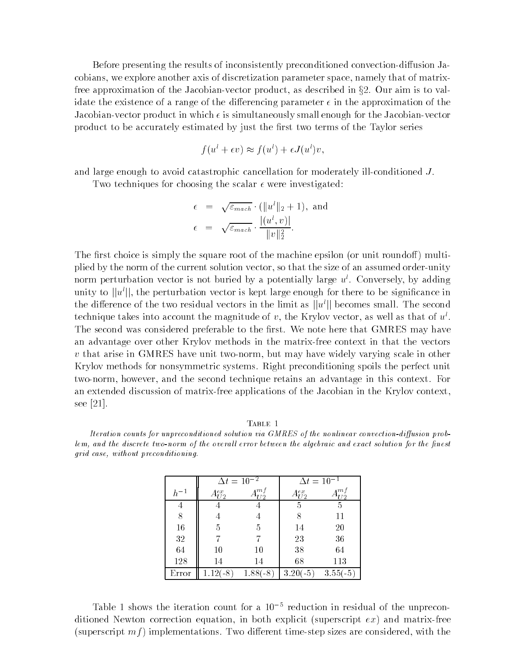Before presenting the results of inconsistently preconditioned convection-diffusion Jacobians, we explore another axis of discretization parameter space, namely that of matrixfree approximation of the Jacobian-vector product, as described in  $\S 2$ . Our aim is to validate the existence of a range of the differencing parameter  $\epsilon$  in the approximation of the Jacobian-vector product in which  $\epsilon$  is simultaneously small enough for the Jacobian-vector product to be accurately estimated by just the first two terms of the Taylor series

$$
f(u^{l} + \epsilon v) \approx f(u^{l}) + \epsilon J(u^{l})v,
$$

and large enough to avoid catastrophic cancellation for moderately ill-conditioned  $J$ .

Two techniques for choosing the scalar  $\epsilon$  were investigated:

$$
\epsilon = \sqrt{\varepsilon_{mach}} \cdot (\|u^l\|_2 + 1), \text{ and}
$$

$$
\epsilon = \sqrt{\varepsilon_{mach}} \cdot \frac{|(u^l, v)|}{\|v\|_2^2}.
$$

The first choice is simply the square root of the machine epsilon (or unit roundoff) multiplied by the norm of the current solution vector, so that the size of an assumed order-unity norm perturbation vector is not buried by a potentially large  $u'$ . Conversely, by adding unity to  $||u'||$ , the perturbation vector is kept large enough for there to be significance in the difference of the two residual vectors in the limit as  $||u'||$  becomes small. The second technique takes into account the magnitude of v, the Krylov vector, as well as that of  $u^i$ . The second was considered preferable to the first. We note here that GMRES may have an advantage over other Krylov methods in the matrix-free context in that the vectors  $v$  that arise in GMRES have unit two-norm, but may have widely varying scale in other Krylov methods for nonsymmetric systems Right preconditioning spoils the perfect unit two-norm, however, and the second technique retains an advantage in this context. For an extended discussion of matrix-free applications of the Jacobian in the Krylov context, see  $[21]$ .

TABLE 1

Iteration counts for unpreconditioned solution via GMRES of the nonlinear convectiondi-usion prob lem, and the discrete two-norm of the overall error between the algebraic and exact solution for the finest grid case, without preconditioning.

|                                         | $\Delta t = 10^{-2}$ |               | $\Delta t = 10^{-1}$  |               |
|-----------------------------------------|----------------------|---------------|-----------------------|---------------|
| $h^{-1}$                                | $A_{U2}^{ex}$        | $A_{U2}^{mf}$ | $A_{U2}^{ex}$         | $A_{U2}^{mf}$ |
| 4                                       |                      |               | $\overline{5}$        | 5             |
| 8                                       |                      |               | 8                     | 11            |
| 16                                      | 5                    | 5             | 14                    | 20            |
| $\begin{array}{c} 32 \\ 64 \end{array}$ |                      |               | $23\,$                | 36            |
|                                         | 10                   | 10            | $38\,$                | 64            |
| 128                                     | 14                   | 14            | 68                    | 113           |
| Error                                   | $1.12(-8)$           | $1.88(-8)$    | $3.20(-5)$ $3.55(-5)$ |               |

Table I shows the iteration count for a 10 – reduction in residual of the unpreconditioned Newton correction equation, in both explicit (superscript  $ex$ ) and matrix-free (superscript  $m f$ ) implementations. Two different time-step sizes are considered, with the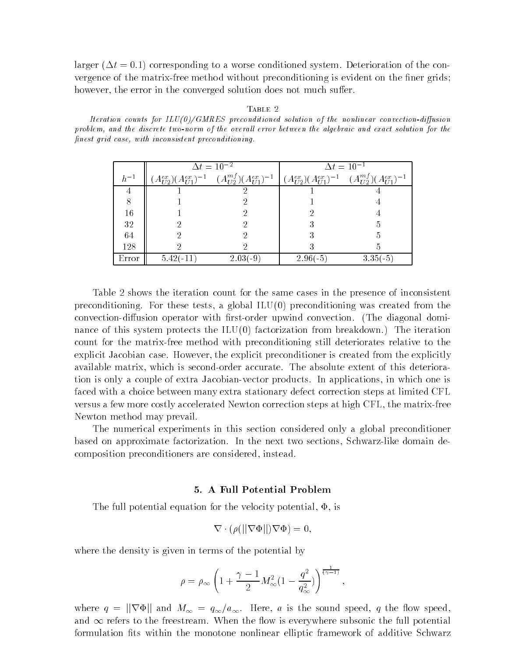larger 
t - corresponding to a worse conditioned system Deterioration of the con vergence of the matrix-free method without preconditioning is evident on the finer grids; however, the error in the converged solution does not much suffer.

#### TABLE 2

Iteration counts for ILU GMRES preconditioned solution of the nonlinear convectiondi-usion problem, and the discrete two-norm of the overall error between the algebraic and exact solution for the finest grid case, with inconsistent preconditioning.

|          |                                       | $\Delta t = 10^{-2}$              |                                   | $\Delta t = 10^{-1}$                 |
|----------|---------------------------------------|-----------------------------------|-----------------------------------|--------------------------------------|
| $h^{-1}$ | $(A_{IJ2}^{ex})(A_{IJ1}^{ex})^{-1}$ ) | $(A_{U2}^{mf})(A_{U1}^{ex})^{-1}$ | $(A_{U2}^{ex})(A_{U1}^{ex})^{-1}$ | $(A_{II2}^{mf}) (A_{II1}^{ex})^{-1}$ |
|          |                                       |                                   |                                   |                                      |
| 8        |                                       |                                   |                                   |                                      |
| 16       |                                       |                                   |                                   |                                      |
| 32       |                                       |                                   | 3                                 |                                      |
| 64       |                                       |                                   |                                   |                                      |
| 128      |                                       |                                   |                                   |                                      |
| Error    | $5.42(-11)$                           | $2.03(-9)$                        | $2.96(-5)$                        | $3.35(-5)$                           |

Table 2 shows the iteration count for the same cases in the presence of inconsistent preconditioning  $\mathcal{F}$  and the sets a global ILU  $\mathcal{F}$  and the sets a global ILU  $\mathcal{F}$  and the sets a global ILU  $\mathcal{F}$  and the sets a global ILU  $\mathcal{F}$  and the sets a global ILU  $\mathcal{F}$  and the sets a global convection-diffusion operator with first-order upwind convection. (The diagonal dominance of this system protects the ILU
- factorization from breakdown The iteration count for the matrix-free method with preconditioning still deteriorates relative to the explicit Jacobian case. However, the explicit preconditioner is created from the explicitly available matrix, which is second-order accurate. The absolute extent of this deterioration is only a couple of extra Jacobian-vector products. In applications, in which one is faced with a choice between many extra stationary defect correction steps at limited CFL versus a few more costly accelerated Newton correction steps at high CFL, the matrix-free Newton method may prevail

The numerical experiments in this section considered only a global preconditioner based on approximate factorization. In the next two sections, Schwarz-like domain decomposition preconditioners are considered, instead.

## 5. A Full Potential Problem

The full potential equation for the velocity potential,  $\Phi$ , is

$$
\nabla \cdot (\rho(||\nabla \Phi||)\nabla \Phi) = 0,
$$

where the density is given in terms of the potential by

$$
\rho = \rho_{\infty} \left( 1 + \frac{\gamma - 1}{2} M_{\infty}^2 (1 - \frac{q^2}{q_{\infty}^2}) \right)^{\frac{1}{(\gamma - 1)}},
$$

where  $q = ||\nabla \Phi||$  and  $M_{\infty} = q_{\infty}/a_{\infty}$ . Here, a is the sound speed, q the flow speed, and  $\infty$  refers to the freestream. When the flow is everywhere subsonic the full potential formulation fits within the monotone nonlinear elliptic framework of additive Schwarz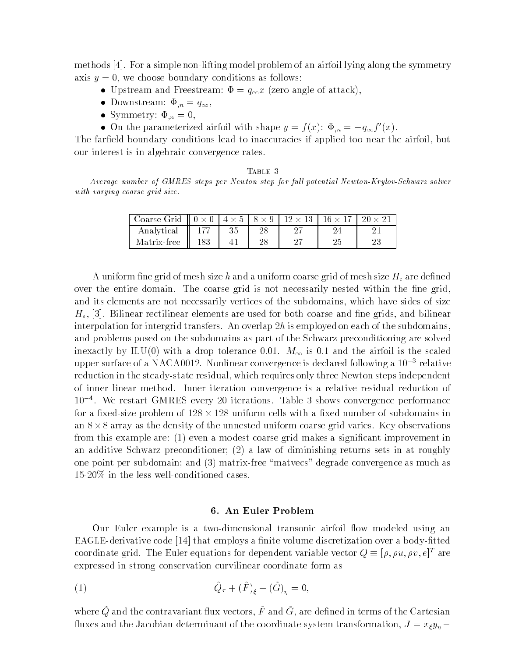methods  $[4]$ . For a simple non-lifting model problem of an airfoil lying along the symmetry ansis y vi conditions as follows as follows as follows as follows .

- Upstream and Freestream:  $\Phi = q_{\infty} x$  (zero angle of attack),
- Downstream:  $\Phi_{,n} = q_{\infty},$
- $S_{\rm{S}}$  , and it is not in the set of  $\sim$  . It is not in the set of  $\sim$
- On the parameterized alrion with shape  $y = f(x)$ :  $\Psi_n = -q_{\infty} f(x)$ .

The farfield boundary conditions lead to inaccuracies if applied too near the airfoil, but our interest is in algebraic convergence rates

| ı<br>I<br>i,<br>ï<br>٠ |  |
|------------------------|--|
|------------------------|--|

Average number of GMRES steps per Newton step for full potential Newton-Krylov-Schwarz solver with varying coarse grid size.

| Coarse Grid<br>- 11 |     |   | $12 \times$<br>13       |    |
|---------------------|-----|---|-------------------------|----|
| Analytical          |     |   | $\Omega$ $\overline{U}$ |    |
| Matrix-free         | 183 | ഹ | $\Omega$                | 23 |

A uniform fine grid of mesh size h and a uniform coarse grid of mesh size  $H_c$  are defined over the entire domain. The coarse grid is not necessarily nested within the fine grid, and its elements are not necessarily vertices of the subdomains, which have sides of size  $H<sub>s</sub>$ , [3]. Bilinear rectilinear elements are used for both coarse and fine grids, and bilinear interpolation for intergrid transfers. An overlap  $2h$  is employed on each of the subdomains, and problems posed on the subdomains as part of the Schwarz preconditioning are solved interacting by ILU  $\{ \cdot \}$  is - and the airfoil is the scale of the scaled  $\mathcal{M}$  is the airfoil is the scaled and the scaled and the scaled and the scaled and the scale of the scale of the scale of the scale of the sc upper surface of a  $NACA0012$ . Nonlinear convergence is declared following a  $10^{-5}$  relative reduction in the steady-state residual, which requires only three Newton steps independent of inner linear method. Inner iteration convergence is a relative residual reduction of TU T. We restart GMRES every 20 iterations. Table 3 snows convergence performance for a fixed-size problem of  $128 \times 128$  uniform cells with a fixed number of subdomains in an  $8 \times 8$  array as the density of the unnested uniform coarse grid varies. Key observations from this example are: (1) even a modest coarse grid makes a significant improvement in an additive Schwarz preconditioner; (2) a law of diminishing returns sets in at roughly one point per subdomain; and (3) matrix-free "matvecs" degrade convergence as much as -! in the less wellconditioned cases

# An Euler Problem

Our Euler example is a two-dimensional transonic airfoil flow modeled using an EAGLE-derivative code  $\left[14\right]$  that employs a finite volume discretization over a body-fitted coordinate grid. The Euler equations for dependent variable vector  $Q = \lvert \rho, \rho u, \rho v, e \rvert^2$  are expressed in strong conservation curvilinear coordinate form as

(1) 
$$
\tilde{Q}_{\tau} + (\tilde{F})_{\xi} + (\tilde{G})_{\eta} = 0,
$$

where  $Q$  and the contravariant nux vectors,  $T$  and  $Q$ , are defined in terms of the Cartesian  $\blacksquare$ fluxes and the Jacobian determinant of the coordinate system transformation,  $J = x_{\xi}y_{\eta}$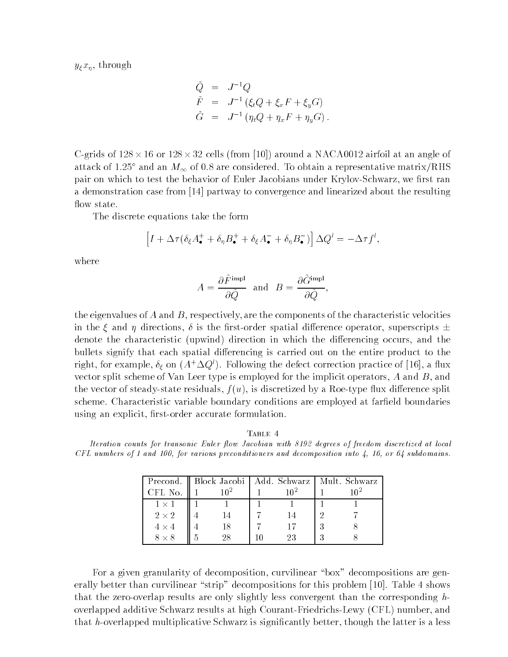$y_{\ell}x_n$ , through

$$
\begin{aligned}\n\tilde{Q} &= J^{-1}Q \\
\tilde{F} &= J^{-1} \left( \xi_t Q + \xi_x F + \xi_y G \right) \\
\tilde{G} &= J^{-1} \left( \eta_t Q + \eta_x F + \eta_y G \right).\n\end{aligned}
$$

c grids in the case of the complete  $\{1, 0, 1, 0, 1, 0, 1, 0, 1, 0, 1, 0, 1, 0, 1, 0, 1, 0, 1, 0, 1, 0, 1, 0, 1, 0, 1, 0, 1, 0, 1, 0, 1, 0, 1, 0, 1, 0, 1, 0, 1, 0, 1, 0, 1, 0, 1, 0, 1, 0, 1, 0, 1, 0, 1, 0, 1, 0, 1, 0, 1,$ attack of 1.25  $\,$  and an  $M_{\infty}$  of 0.8 are considered. To obtain a representative matrix/KHS  $\,$ pair on which to test the behavior of Euler Jacobians under Krylov-Schwarz, we first ran a demonstration case from [14] partway to convergence and linearized about the resulting flow state.

The discrete equations take the form

$$
\left[I + \Delta \tau (\delta_{\xi} A_{\bullet}^{+} + \delta_{\eta} B_{\bullet}^{+} + \delta_{\xi} A_{\bullet}^{-} + \delta_{\eta} B_{\bullet}^{-})\right] \Delta Q^{l} = -\Delta \tau f^{l},
$$

where

$$
A = \frac{\partial \tilde{F}^{\text{impl}}}{\partial \tilde{Q}} \text{ and } B = \frac{\partial \tilde{G}^{\text{impl}}}{\partial \tilde{Q}},
$$

the eigenvalues of A and B, respectively, are the components of the characteristic velocities in the  $\xi$  and  $\eta$  directions,  $\delta$  is the first-order spatial difference operator, superscripts  $\pm$ denote the characteristic (upwind) direction in which the differencing occurs, and the bullets signify that each spatial differencing is carried out on the entire product to the right, for example,  $\delta_{\xi}$  on  $(A^+\Delta Q^l)$ . Following the defect correction practice of [16], a flux vector split scheme of Van Leer type is employed for the implicit operators, A and  $B$ , and the vector of steady-state residuals,  $f(u)$ , is discretized by a Roe-type flux difference split scheme. Characteristic variable boundary conditions are employed at farfield boundaries using an explicit, first-order accurate formulation.

TABLE 4

Iteration counts for transonic Euler flow Jacobian with 8192 degrees of freedom discretized at local CFL numbers of 1 and 100, for various preconditioners and decomposition into  $\lambda$ , 16, or 6 $\lambda$  subdomains

|              |  |  | Precond.    Block Jacobi   Add. Schwarz   Mult. Schwarz |
|--------------|--|--|---------------------------------------------------------|
| CFL No.      |  |  |                                                         |
| $1 \times 1$ |  |  |                                                         |
| $2\times 2$  |  |  |                                                         |
| $4 \times 4$ |  |  |                                                         |
|              |  |  |                                                         |

For a given granularity of decomposition, curvilinear "box" decompositions are generally better thank curvilinear strip are this particles for this problem  $\{z, \tau\}$  . Showse I among that the zero-overlap results are only slightly less convergent than the corresponding  $h$ overlapped additive Schwarz results at high Courant-Friedrichs-Lewy (CFL) number, and that h-overlapped multiplicative Schwarz is significantly better, though the latter is a less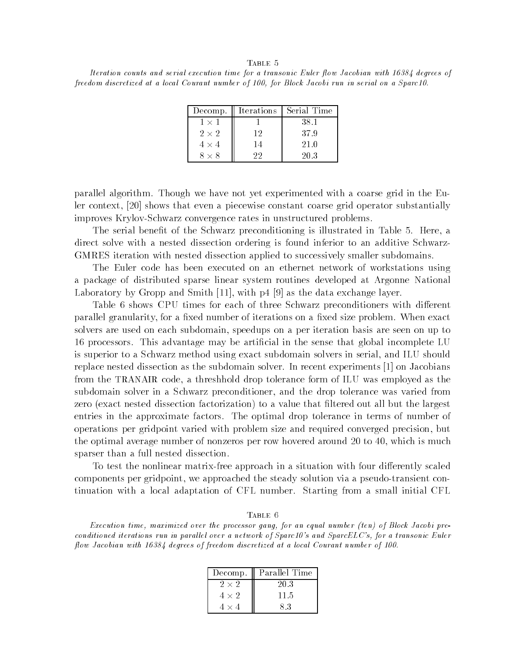#### TABLE 5

Iteration counts and serial execution time for a transonic Euler flow Jacobian with 16384 degrees of freedom discretized at a local Courant number of 100, for Block Jacobi run in serial on a Sparc10.

| Decomp.      | <b>Iterations</b> | Serial Time |
|--------------|-------------------|-------------|
| $1 \times 1$ |                   | 38.1        |
| $2\times 2$  | 12                | 37.9        |
| $4 \times 4$ | 14                | 21.0        |
| $8 \times 8$ | ,,,               | 20.3        |

parallel algorithm Though we have not yet experimented with a coarse grid in the Eu ler context - shows that even a piecewise constant coarse grid operator substantially improves Krylov-Schwarz convergence rates in unstructured problems.

The serial benet of the Schwarz preconditioning is illustrated in Table Here a direct solve with a nested dissection ordering is found inferior to an additive Schwarz GMRES iteration with nested dissection applied to successively smaller subdomains

The Euler code has been executed on an ethernet network of workstations using a package of distributed sparse linear system routines developed at Argonne National Laboratory by Gropp and Smith  $[11]$ , with p4  $[9]$  as the data exchange layer.

Table 6 shows CPU times for each of three Schwarz preconditioners with different parallel granularity, for a fixed number of iterations on a fixed size problem. When exact solvers are used on each subdomain speedups on a per iteration basis are seen on up to 16 processors. This advantage may be artificial in the sense that global incomplete LU is superior to a Schwarz method using exact subdomain solvers in serial, and ILU should replace nested dissection as the subdomain solver. In recent experiments  $\left[1\right]$  on Jacobians from the TRANAIR code, a threshhold drop tolerance form of ILU was employed as the subdomain solver in a Schwarz preconditioner, and the drop tolerance was varied from zero (exact nested dissection factorization) to a value that filtered out all but the largest entries in the approximate factors. The optimal drop tolerance in terms of number of operations per gridpoint varied with problem size and required converged precision but the optimal average number of nonzeros per row hovered around  $\mathbf{u}$  around  $\mathbf{v}$  around  $\mathbf{v}$ sparser than a full nested dissection.

To test the nonlinear matrix-free approach in a situation with four differently scaled components per gridpoint, we approached the steady solution via a pseudo-transient continuation with a local adaptation of CFL number Starting from a small initial CFL

TABLE 6

Execution time maximized over the processor gang for an equal number ten of Block Jacobi pre conditioned iterations run in parallel over a network of Sparc10's and SparcELC's, for a transonic Euler flow Jacobian with  $16384$  degrees of freedom discretized at a local Courant number of 100.

| Decomp.      | Parallel Time |
|--------------|---------------|
| $2 \times 2$ | 20.3          |
| $4 \times 2$ | 11.5          |
| $4 \times 4$ | 83            |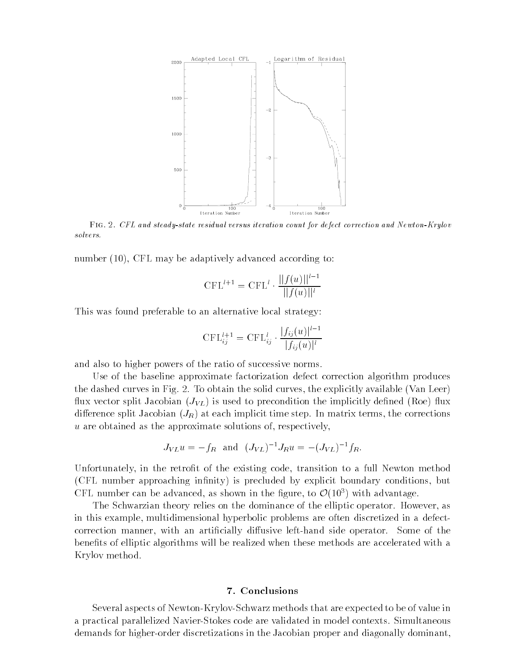

FIG. 2. UFL and steady-state residual versus iteration count for defect correction and Newton-Krylov solvers

number of the state and the contract of the contract of the contract of the contract of the contract of the co

$$
\text{CFL}^{l+1} = \text{CFL}^{l} \cdot \frac{||f(u)||^{l-1}}{||f(u)||^{l}}
$$

This was found preferable to an alternative local strategy

$$
\text{CFL}_{ij}^{l+1} = \text{CFL}_{ij}^{l} \cdot \frac{|f_{ij}(u)|^{l-1}}{|f_{ij}(u)|^{l}}
$$

and also to higher powers of the ratio of successive norms.

Use of the baseline approximate factorization defect correction algorithm produces the dashed curves in Fig. 2. To obtain the solid curves, the explicitly available (Van Leer) flux vector split Jacobian  $(J_{VL})$  is used to precondition the implicitly defined (Roe) flux difference split Jacobian  $(J_R)$  at each implicit time step. In matrix terms, the corrections  $u$  are obtained as the approximate solutions of, respectively,

$$
J_{VL}u = -f_R
$$
 and  $(J_{VL})^{-1}J_Ru = -(J_{VL})^{-1}f_R$ .

Unfortunately, in the retrofit of the existing code, transition to a full Newton method (CFL number approaching infinity) is precluded by explicit boundary conditions, but  $\cup$ r L number can be advanced, as snown in the ngure, to  $\cup$ (10°) with advantage.

The Schwarzian theory relies on the dominance of the elliptic operator. However, as in this example, multidimensional hyperbolic problems are often discretized in a defectcorrection manner, with an artificially diffusive left-hand side operator. Some of the benefits of elliptic algorithms will be realized when these methods are accelerated with a Krylov method

## 7. Conclusions

Several aspects of Newton-Krylov-Schwarz methods that are expected to be of value in a practical parallelized Navier-Stokes code are validated in model contexts. Simultaneous demands for higher-order discretizations in the Jacobian proper and diagonally dominant,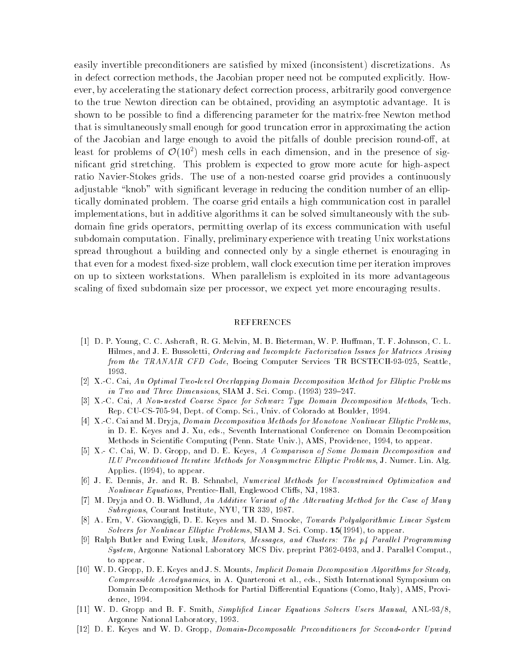easily invertible preconditioners are satisfied by mixed (inconsistent) discretizations. As in defect correction methods, the Jacobian proper need not be computed explicitly. However, by accelerating the stationary defect correction process, arbitrarily good convergence to the true Newton direction can be obtained, providing an asymptotic advantage. It is shown to be possible to find a differencing parameter for the matrix-free Newton method that is simultaneously small enough for good truncation error in approximating the action of the Jacobian and large enough to avoid the pitfalls of double precision round-off, at least for problems of  $U(10^+)$  mesh cells in each dimension, and in the presence of significant grid stretching. This problem is expected to grow more acute for high-aspect ratio Navier-Stokes grids. The use of a non-nested coarse grid provides a continuously adjustable "knob" with significant leverage in reducing the condition number of an elliptically dominated problem The coarse grid entails a high communication cost in parallel implementations but in additive algorithms it can be solved simultaneously with the sub domain fine grids operators, permitting overlap of its excess communication with useful subdomain computation. Finally, preliminary experience with treating Unix workstations spread throughout a building and connected only by a single ethernet is enouraging in that even for a modest fixed-size problem, wall clock execution time per iteration improves on up to sixteen workstations. When parallelism is exploited in its more advantageous scaling of fixed subdomain size per processor, we expect yet more encouraging results.

#### REFERENCES

- , p young c can be a shown with the second and with the second control of the second property of the second se Hilmes, and J. E. Bussoletti, Ordering and Incomplete Factorization Issues for Matrices Arising from the TRANAIR CFD Code Boeing Computer Services TR BCSTECH  Seattle 1993
- [2] X.-C. Cai, An Optimal Two-level Overlapping Domain Decomposition Method for Elliptic Problems in Two and Three Dimensions, SIAM J. Sci. Comp. (1993) 239-247.
- [3] X.-C. Cai, A Non-nested Coarse Space for Schwarz Type Domain Decomposition Methods, Tech. aver computed and computer that colorado at the colorado at the colorado at the colorado at the second at the
- [4] X.-C. Cai and M. Dryja, *Domain Decomposition Methods for Monotone Nonlinear Elliptic Problems*, in D. E. Keyes and J. Xu, eds., Seventh International Conference on Domain Decomposition Methods in Scientific Computing (Penn. State Univ.), AMS, Providence, 1994, to appear.
- [5] X.- C. Cai, W. D. Gropp, and D. E. Keyes, A Comparison of Some Domain Decomposition and ILU Preconditioned Iterative Methods for Nonsymmetric Elliptic Problems, J. Numer. Lin. Alg. Applics.  $(1994)$ , to appear.
- [6] J. E. Dennis, Jr. and R. B. Schnabel, Numerical Methods for Unconstrained Optimization and nonlinear Equations, premiers manual Engless Prentice Press Press Press
- [7] M. Dryja and O. B. Widlund, An Additive Variant of the Alternating Method for the Case of Many  $Subregions$ , Courant Institute, NYU, TR 339, 1987.
- [8] A. Ern, V. Giovangigli, D. E. Keyes and M. D. Smooke, Towards Polyalgorithmic Linear System Solvers for Nonlinear Elliptic Problems, SIAM J. Sci. Comp.  $15(1994)$ , to appear.
- [9] Ralph Butler and Ewing Lusk, Monitors, Messages, and Clusters: The  $p_4$  Parallel Programming System Argonne National Laboratory MCS Div preprint P and J Parallel Comput to appear
- W D Gropp D E Keyes and J S Mounts Implicit Domain Decomposition Algorithms for Steady  $Compressible$  Aerodynamics, in A. Quarteroni et al., eds., Sixth International Symposium on Domain Decomposition Methods for Partial Di-erential Equations 
Como Italy AMS Provi dence, 1994.
- [11] W. D. Gropp and B. F. Smith, Simplified Linear Equations Solvers Users Manual, ANL-93/8, Argonne National Laboratory
- [12] D. E. Keyes and W. D. Gropp, Domain-Decomposable Preconditioners for Second-order Upwind